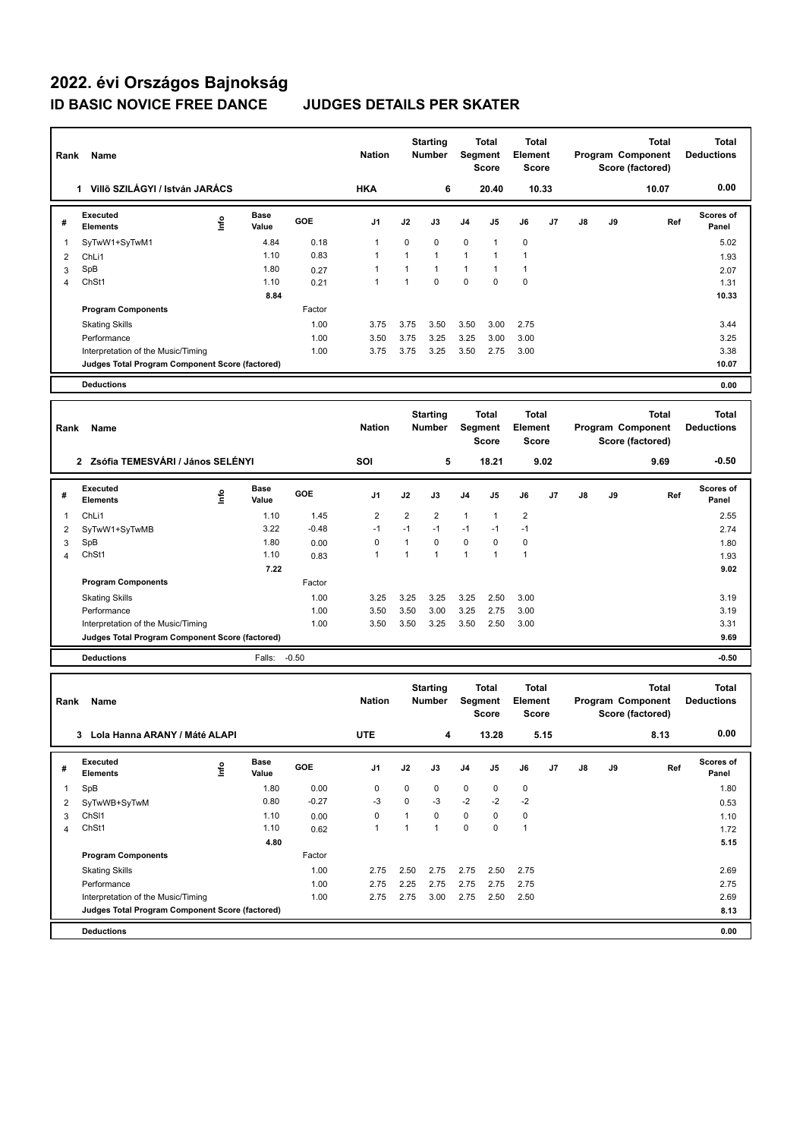## **2022. évi Országos Bajnokság ID BASIC NOVICE FREE DANCE JUDGES DETAILS PER SKATER**

|                                    | Name<br>Rank                                      |      |                      |               |                           |                           | <b>Starting</b><br>Number               | <b>Total</b><br>Segment<br><b>Score</b> |                                  | <b>Total</b><br>Element<br><b>Score</b>        |                                       | Program Component<br>Score (factored)                 |              | <b>Total</b>                      | Total<br><b>Deductions</b>        |
|------------------------------------|---------------------------------------------------|------|----------------------|---------------|---------------------------|---------------------------|-----------------------------------------|-----------------------------------------|----------------------------------|------------------------------------------------|---------------------------------------|-------------------------------------------------------|--------------|-----------------------------------|-----------------------------------|
|                                    | 1 Villő SZILÁGYI / István JARÁCS                  |      |                      |               | <b>HKA</b>                |                           | 6                                       |                                         | 20.40                            | 10.33                                          |                                       |                                                       |              | 10.07                             | 0.00                              |
| #                                  | <b>Executed</b><br><b>Elements</b>                | ۴ů   | <b>Base</b><br>Value | GOE           | J1                        | J2                        | J3                                      | J4                                      | J <sub>5</sub>                   | J6                                             | J7                                    | J8                                                    | J9           | Ref                               | Scores of<br>Panel                |
| 1                                  | SyTwW1+SyTwM1                                     |      | 4.84                 | 0.18          | 1                         | 0                         | 0                                       | 0                                       | 1                                | 0                                              |                                       |                                                       |              |                                   | 5.02                              |
| 2                                  | ChLi1                                             |      | 1.10                 | 0.83          | 1                         | $\mathbf{1}$              | $\mathbf{1}$                            | $\mathbf{1}$                            | $\mathbf{1}$                     | $\mathbf{1}$                                   |                                       |                                                       |              |                                   | 1.93                              |
| 3                                  | SpB                                               |      | 1.80                 | 0.27          | 1                         | 1                         | $\mathbf{1}$                            | $\mathbf{1}$                            | 1                                | $\mathbf{1}$                                   |                                       |                                                       |              |                                   | 2.07                              |
| 4                                  | ChSt1                                             |      | 1.10                 | 0.21          | 1                         | $\mathbf{1}$              | $\mathbf 0$                             | 0                                       | 0                                | 0                                              |                                       |                                                       |              |                                   | 1.31                              |
|                                    | <b>Program Components</b>                         |      | 8.84                 | Factor        |                           |                           |                                         |                                         |                                  |                                                |                                       |                                                       |              |                                   | 10.33                             |
|                                    |                                                   |      |                      | 1.00          | 3.75                      | 3.75                      | 3.50                                    | 3.50                                    | 3.00                             | 2.75                                           |                                       |                                                       |              |                                   | 3.44                              |
|                                    | <b>Skating Skills</b><br>Performance              |      |                      | 1.00          | 3.50                      | 3.75                      | 3.25                                    | 3.25                                    | 3.00                             | 3.00                                           |                                       |                                                       |              |                                   | 3.25                              |
|                                    | Interpretation of the Music/Timing                |      |                      | 1.00          | 3.75                      | 3.75                      | 3.25                                    | 3.50                                    | 2.75                             | 3.00                                           |                                       |                                                       |              |                                   | 3.38                              |
|                                    | Judges Total Program Component Score (factored)   |      |                      |               |                           |                           |                                         |                                         |                                  |                                                |                                       |                                                       |              |                                   | 10.07                             |
|                                    | <b>Deductions</b>                                 |      |                      |               |                           |                           |                                         |                                         |                                  |                                                |                                       |                                                       |              |                                   | 0.00                              |
|                                    |                                                   |      |                      |               |                           |                           |                                         |                                         |                                  |                                                |                                       |                                                       |              |                                   |                                   |
| Rank<br>Name                       |                                                   |      |                      |               | <b>Nation</b>             | <b>Starting</b><br>Number |                                         | <b>Total</b><br>Segment<br><b>Score</b> |                                  | <b>Total</b><br><b>Element</b><br><b>Score</b> |                                       | <b>Total</b><br>Program Component<br>Score (factored) |              |                                   | <b>Total</b><br><b>Deductions</b> |
| 2 Zsófia TEMESVÁRI / János SELÉNYI |                                                   |      |                      |               | SOI                       | 5<br>18.21                |                                         |                                         | 9.02                             |                                                | 9.69                                  |                                                       |              | $-0.50$                           |                                   |
| #                                  | <b>Executed</b><br><b>Elements</b>                | ١nf٥ | Base<br>Value        | GOE           | J1                        | J2                        | J3                                      | J4                                      | J5                               | J6                                             | J7                                    | J8                                                    | J9           | Ref                               | <b>Scores of</b><br>Panel         |
| 1                                  | ChL <sub>i1</sub>                                 |      | 1.10                 | 1.45          | $\overline{\mathbf{c}}$   | $\overline{2}$            | 2                                       | $\mathbf{1}$                            | 1                                | $\overline{\mathbf{c}}$                        |                                       |                                                       |              |                                   | 2.55                              |
| 2                                  | SyTwW1+SyTwMB                                     |      | 3.22                 | $-0.48$       | $-1$                      | $-1$                      | $-1$                                    | $-1$                                    | $-1$                             | $-1$                                           |                                       |                                                       |              |                                   | 2.74                              |
| 3                                  | SpB                                               |      | 1.80                 | 0.00          | 0                         | $\mathbf{1}$              | $\pmb{0}$                               | $\mathbf 0$                             | $\mathbf 0$                      | 0                                              |                                       |                                                       |              |                                   | 1.80                              |
| 4                                  | ChSt1                                             |      | 1.10                 | 0.83          | 1                         | 1                         | $\mathbf{1}$                            | 1                                       | 1                                | $\mathbf{1}$                                   |                                       |                                                       |              |                                   | 1.93                              |
|                                    | <b>Program Components</b>                         |      | 7.22                 | Factor        |                           |                           |                                         |                                         |                                  |                                                |                                       |                                                       |              |                                   | 9.02                              |
|                                    | <b>Skating Skills</b>                             |      |                      | 1.00          | 3.25                      | 3.25                      | 3.25                                    | 3.25                                    | 2.50                             | 3.00                                           |                                       |                                                       |              |                                   | 3.19                              |
|                                    | Performance                                       |      |                      | 1.00          | 3.50                      | 3.50                      | 3.00                                    | 3.25                                    | 2.75                             | 3.00                                           |                                       |                                                       |              |                                   | 3.19                              |
|                                    | Interpretation of the Music/Timing                |      |                      | 1.00          | 3.50                      | 3.50                      | 3.25                                    | 3.50                                    | 2.50                             | 3.00                                           |                                       |                                                       |              |                                   | 3.31                              |
|                                    | Judges Total Program Component Score (factored)   |      |                      |               |                           |                           |                                         |                                         |                                  |                                                |                                       |                                                       |              |                                   | 9.69                              |
|                                    | <b>Deductions</b>                                 |      | Falls:               | $-0.50$       |                           |                           |                                         |                                         |                                  |                                                |                                       |                                                       |              |                                   | $-0.50$                           |
|                                    |                                                   |      |                      |               |                           |                           |                                         |                                         |                                  |                                                |                                       |                                                       |              |                                   |                                   |
|                                    | Rank<br>Name                                      |      |                      | <b>Nation</b> | <b>Starting</b><br>Number |                           | <b>Total</b><br>Segment<br><b>Score</b> |                                         | Total<br><b>Element</b><br>Score |                                                | Program Component<br>Score (factored) |                                                       | <b>Total</b> | <b>Total</b><br><b>Deductions</b> |                                   |
| Lola Hanna ARANY / Máté ALAPI<br>3 |                                                   |      |                      |               | <b>UTE</b>                |                           | 4                                       |                                         | 13.28                            |                                                | 5.15                                  |                                                       |              | 8.13                              | 0.00                              |
| #                                  | Executed<br>Elements                              | lnfo | <b>Base</b><br>Value | GOE           | J1                        | J2                        | J3                                      | J4                                      | J5                               | J6                                             | J7                                    | J8                                                    | J9           | Ref                               | Scores of<br>Panel                |
| $\mathbf{1}$                       | SpB                                               |      | 1.80                 | 0.00          | 0                         | $\mathbf 0$               | 0                                       | 0                                       | 0                                | 0                                              |                                       |                                                       |              |                                   | 1.80                              |
| 2                                  | SyTwWB+SyTwM                                      |      | 0.80                 | $-0.27$       | $-3$                      | 0                         | $-3$                                    | $-2$                                    | $-2$                             | $-2$                                           |                                       |                                                       |              |                                   | 0.53                              |
| 3                                  | ChS <sub>11</sub>                                 |      | 1.10                 | 0.00          | 0                         | $\mathbf{1}$              | $\mathbf 0$                             | 0                                       | 0                                | $\pmb{0}$                                      |                                       |                                                       |              |                                   | 1.10                              |
| 4                                  | ChSt1                                             |      | 1.10                 | 0.62          | $\mathbf{1}$              | $\mathbf{1}$              | $\mathbf{1}$                            | 0                                       | $\mathbf 0$                      | $\mathbf{1}$                                   |                                       |                                                       |              |                                   | 1.72                              |
|                                    |                                                   |      | 4.80                 |               |                           |                           |                                         |                                         |                                  |                                                |                                       |                                                       |              |                                   | 5.15                              |
|                                    | <b>Program Components</b>                         |      |                      | Factor        |                           |                           |                                         |                                         |                                  |                                                |                                       |                                                       |              |                                   |                                   |
|                                    | <b>Skating Skills</b>                             |      |                      | 1.00          | 2.75                      | 2.50                      | 2.75                                    | 2.75                                    | 2.50                             | 2.75                                           |                                       |                                                       |              |                                   | 2.69                              |
|                                    | Performance<br>Interpretation of the Music/Timing |      |                      | 1.00<br>1.00  | 2.75<br>2.75              | 2.25<br>2.75              | 2.75                                    | 2.75<br>2.75                            | 2.75                             | 2.75<br>2.50                                   |                                       |                                                       |              |                                   | 2.75<br>2.69                      |
|                                    | Judges Total Program Component Score (factored)   |      |                      |               |                           |                           | 3.00                                    |                                         | 2.50                             |                                                |                                       |                                                       |              |                                   | 8.13                              |
|                                    | <b>Deductions</b>                                 |      |                      |               |                           |                           |                                         |                                         |                                  |                                                |                                       |                                                       |              |                                   | 0.00                              |
|                                    |                                                   |      |                      |               |                           |                           |                                         |                                         |                                  |                                                |                                       |                                                       |              |                                   |                                   |